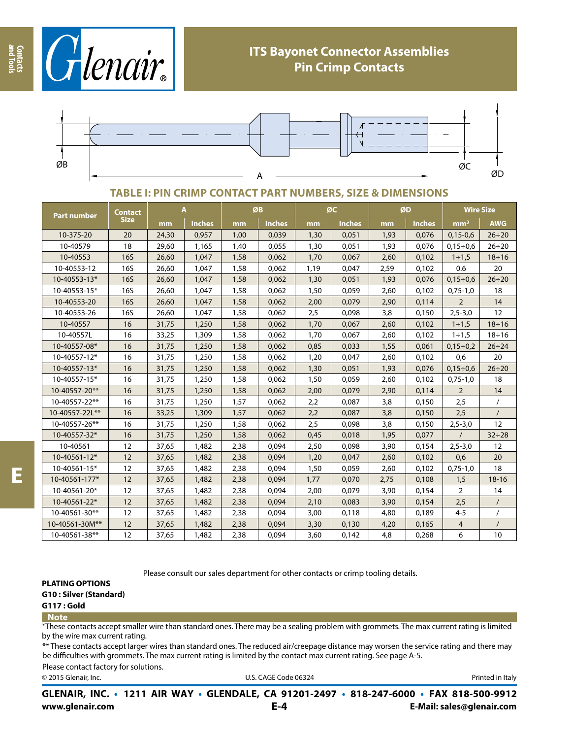



### **TABLE I: PIN CRIMP CONTACT PART NUMBERS, SIZE & DIMENSIONS**

| Part number    | Contact<br><b>Size</b> | A     |               | ØB   |               | ØC   |               | ØD   |               | <b>Wire Size</b> |              |
|----------------|------------------------|-------|---------------|------|---------------|------|---------------|------|---------------|------------------|--------------|
|                |                        | mm    | <b>Inches</b> | mm   | <b>Inches</b> | mm   | <b>Inches</b> | mm   | <b>Inches</b> | mm <sup>2</sup>  | <b>AWG</b>   |
| 10-375-20      | 20                     | 24,30 | 0,957         | 1,00 | 0,039         | 1,30 | 0,051         | 1,93 | 0,076         | $0,15-0,6$       | $26 \div 20$ |
| 10-40579       | 18                     | 29,60 | 1,165         | 1,40 | 0,055         | 1,30 | 0,051         | 1,93 | 0,076         | $0,15 \div 0,6$  | $26 \div 20$ |
| 10-40553       | <b>16S</b>             | 26,60 | 1,047         | 1,58 | 0,062         | 1,70 | 0,067         | 2,60 | 0,102         | $1 \div 1,5$     | $18 \div 16$ |
| 10-40553-12    | 16S                    | 26,60 | 1,047         | 1,58 | 0,062         | 1,19 | 0,047         | 2,59 | 0,102         | 0.6              | 20           |
| 10-40553-13*   | <b>16S</b>             | 26,60 | 1,047         | 1,58 | 0,062         | 1,30 | 0,051         | 1,93 | 0,076         | $0,15 \div 0,6$  | $26 \div 20$ |
| 10-40553-15*   | <b>16S</b>             | 26,60 | 1,047         | 1,58 | 0,062         | 1,50 | 0,059         | 2,60 | 0,102         | $0,75-1,0$       | 18           |
| 10-40553-20    | <b>16S</b>             | 26,60 | 1,047         | 1,58 | 0,062         | 2,00 | 0,079         | 2,90 | 0,114         | $\overline{2}$   | 14           |
| 10-40553-26    | 16S                    | 26,60 | 1,047         | 1,58 | 0,062         | 2,5  | 0,098         | 3,8  | 0,150         | $2,5 - 3,0$      | 12           |
| 10-40557       | 16                     | 31,75 | 1,250         | 1,58 | 0,062         | 1,70 | 0,067         | 2,60 | 0,102         | $1 \div 1.5$     | $18 \div 16$ |
| 10-40557L      | 16                     | 33,25 | 1,309         | 1,58 | 0,062         | 1,70 | 0,067         | 2,60 | 0,102         | $1 \div 1.5$     | $18 \div 16$ |
| 10-40557-08*   | 16                     | 31,75 | 1,250         | 1,58 | 0,062         | 0,85 | 0,033         | 1,55 | 0,061         | $0,15 \div 0,2$  | $26 \div 24$ |
| 10-40557-12*   | 16                     | 31,75 | 1,250         | 1,58 | 0,062         | 1,20 | 0,047         | 2,60 | 0,102         | 0,6              | 20           |
| 10-40557-13*   | 16                     | 31,75 | 1,250         | 1,58 | 0,062         | 1,30 | 0,051         | 1,93 | 0,076         | $0,15 \div 0,6$  | $26 \div 20$ |
| 10-40557-15*   | 16                     | 31,75 | 1,250         | 1,58 | 0,062         | 1,50 | 0,059         | 2,60 | 0,102         | $0,75-1,0$       | 18           |
| 10-40557-20**  | 16                     | 31,75 | 1,250         | 1,58 | 0,062         | 2,00 | 0,079         | 2,90 | 0,114         | $\overline{2}$   | 14           |
| 10-40557-22**  | 16                     | 31,75 | 1,250         | 1,57 | 0,062         | 2,2  | 0,087         | 3,8  | 0,150         | 2,5              | $\prime$     |
| 10-40557-22L** | 16                     | 33,25 | 1,309         | 1,57 | 0,062         | 2,2  | 0,087         | 3,8  | 0,150         | 2,5              | $\prime$     |
| 10-40557-26**  | 16                     | 31,75 | 1,250         | 1,58 | 0,062         | 2,5  | 0,098         | 3,8  | 0,150         | $2,5 - 3,0$      | 12           |
| 10-40557-32*   | 16                     | 31,75 | 1,250         | 1,58 | 0,062         | 0,45 | 0,018         | 1,95 | 0,077         |                  | $32 \div 28$ |
| 10-40561       | 12                     | 37,65 | 1,482         | 2,38 | 0,094         | 2,50 | 0,098         | 3,90 | 0,154         | $2,5 - 3,0$      | 12           |
| 10-40561-12*   | 12                     | 37,65 | 1,482         | 2,38 | 0,094         | 1,20 | 0,047         | 2,60 | 0,102         | 0,6              | 20           |
| 10-40561-15*   | 12                     | 37,65 | 1,482         | 2,38 | 0,094         | 1,50 | 0,059         | 2,60 | 0,102         | $0,75-1,0$       | 18           |
| 10-40561-177*  | 12                     | 37,65 | 1,482         | 2,38 | 0,094         | 1,77 | 0,070         | 2,75 | 0,108         | 1,5              | $18 - 16$    |
| 10-40561-20*   | 12                     | 37,65 | 1,482         | 2,38 | 0,094         | 2,00 | 0,079         | 3,90 | 0,154         | $\overline{2}$   | 14           |
| 10-40561-22*   | 12                     | 37,65 | 1,482         | 2,38 | 0,094         | 2,10 | 0,083         | 3,90 | 0,154         | 2,5              | $\sqrt{2}$   |
| 10-40561-30**  | 12                     | 37,65 | 1,482         | 2,38 | 0,094         | 3,00 | 0,118         | 4,80 | 0,189         | $4 - 5$          | $\prime$     |
| 10-40561-30M** | 12                     | 37,65 | 1,482         | 2,38 | 0,094         | 3,30 | 0,130         | 4,20 | 0,165         | 4                |              |
| 10-40561-38**  | 12                     | 37,65 | 1,482         | 2,38 | 0,094         | 3,60 | 0,142         | 4,8  | 0,268         | 6                | 10           |

Please consult our sales department for other contacts or crimp tooling details.

**PLATING OPTIONS**

**G10 : Silver (Standard)**

- **G117 : Gold**
- **Note**

\*These contacts accept smaller wire than standard ones. There may be a sealing problem with grommets. The max current rating is limited by the wire max current rating.

\*\* These contacts accept larger wires than standard ones. The reduced air/creepage distance may worsen the service rating and there may be difficulties with grommets. The max current rating is limited by the contact max current rating. See page A-5.

Please contact factory for solutions.

© 2015 Glenair, Inc. **Discription Construction Construction Construction Construction Construction Construction Construction Construction Construction Construction Construction Construction Construction Construction Constr** 

**www.glenair.com E-Mail: sales@glenair.com GLENAIR, INC. • 1211 AIR WAY • GLENDALE, CA 91201-2497 • 818-247-6000 • FAX 818-500-9912 E-4**